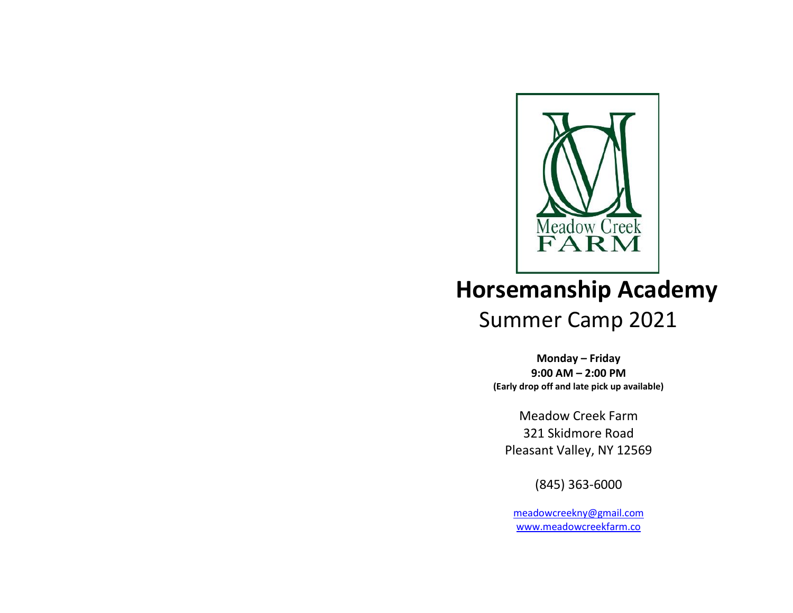

# **Horsemanship Academy** Summer Camp 2021

**Monday – Friday 9:00 AM – 2:00 PM (Early drop off and late pick up available)**

Meadow Creek Farm 321 Skidmore Road Pleasant Valley, NY 12569

(845) 363-6000

[meadowcreekny@gmail.com](mailto:meadowcreekny@gmail.com) [www.meadowcreekfarm.co](http://www.meadowcreekfarm.co/)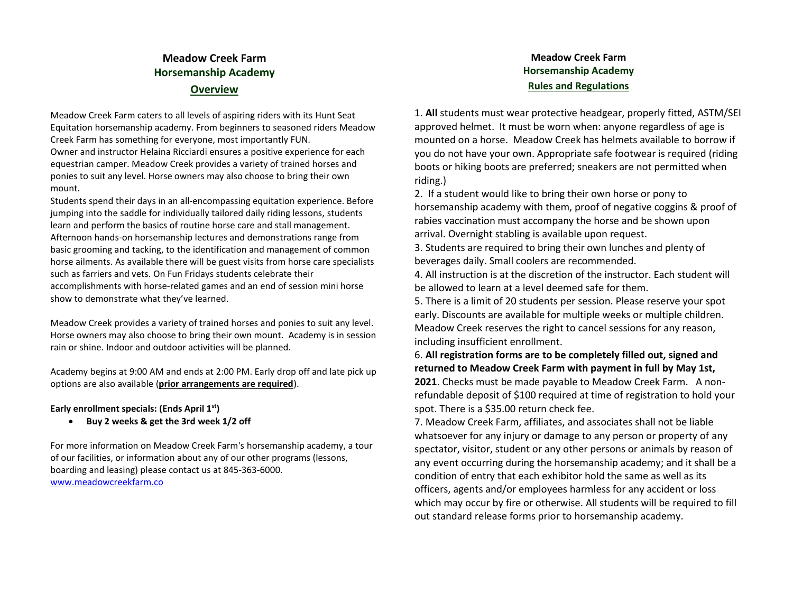### **Meadow Creek Farm Horsemanship Academy Overview**

Meadow Creek Farm caters to all levels of aspiring riders with its Hunt Seat Equitation horsemanship academy. From beginners to seasoned riders Meadow Creek Farm has something for everyone, most importantly FUN. Owner and instructor Helaina Ricciardi ensures a positive experience for each equestrian camper. Meadow Creek provides a variety of trained horses and ponies to suit any level. Horse owners may also choose to bring their own mount.

Students spend their days in an all-encompassing equitation experience. Before jumping into the saddle for individually tailored daily riding lessons, students learn and perform the basics of routine horse care and stall management. Afternoon hands-on horsemanship lectures and demonstrations range from basic grooming and tacking, to the identification and management of common horse ailments. As available there will be guest visits from horse care specialists such as farriers and vets. On Fun Fridays students celebrate their accomplishments with horse-related games and an end of session mini horse show to demonstrate what they've learned.

Meadow Creek provides a variety of trained horses and ponies to suit any level. Horse owners may also choose to bring their own mount. Academy is in session rain or shine. Indoor and outdoor activities will be planned.

Academy begins at 9:00 AM and ends at 2:00 PM. Early drop off and late pick up options are also available (**prior arrangements are required**).

#### **Early enrollment specials: (Ends April 1 st)**

• **Buy 2 weeks & get the 3rd week 1/2 off**

For more information on Meadow Creek Farm's horsemanship academy, a tour of our facilities, or information about any of our other programs (lessons, boarding and leasing) please contact us at 845-363-6000. [www.meadowcreekfarm.co](http://www.meadowcreekfarm.co/)

#### **Meadow Creek Farm Horsemanship Academy Rules and Regulations**

1. **All** students must wear protective headgear, properly fitted, ASTM/SEI approved helmet. It must be worn when: anyone regardless of age is mounted on a horse. Meadow Creek has helmets available to borrow if you do not have your own. Appropriate safe footwear is required (riding boots or hiking boots are preferred; sneakers are not permitted when riding.)

2. If a student would like to bring their own horse or pony to horsemanship academy with them, proof of negative coggins & proof of rabies vaccination must accompany the horse and be shown upon arrival. Overnight stabling is available upon request.

3. Students are required to bring their own lunches and plenty of beverages daily. Small coolers are recommended.

4. All instruction is at the discretion of the instructor. Each student will be allowed to learn at a level deemed safe for them.

5. There is a limit of 20 students per session. Please reserve your spot early. Discounts are available for multiple weeks or multiple children. Meadow Creek reserves the right to cancel sessions for any reason, including insufficient enrollment.

6. **All registration forms are to be completely filled out, signed and returned to Meadow Creek Farm with payment in full by May 1st, 2021**. Checks must be made payable to Meadow Creek Farm. A nonrefundable deposit of \$100 required at time of registration to hold your spot. There is a \$35.00 return check fee.

7. Meadow Creek Farm, affiliates, and associates shall not be liable whatsoever for any injury or damage to any person or property of any spectator, visitor, student or any other persons or animals by reason of any event occurring during the horsemanship academy; and it shall be a condition of entry that each exhibitor hold the same as well as its officers, agents and/or employees harmless for any accident or loss which may occur by fire or otherwise. All students will be required to fill out standard release forms prior to horsemanship academy.